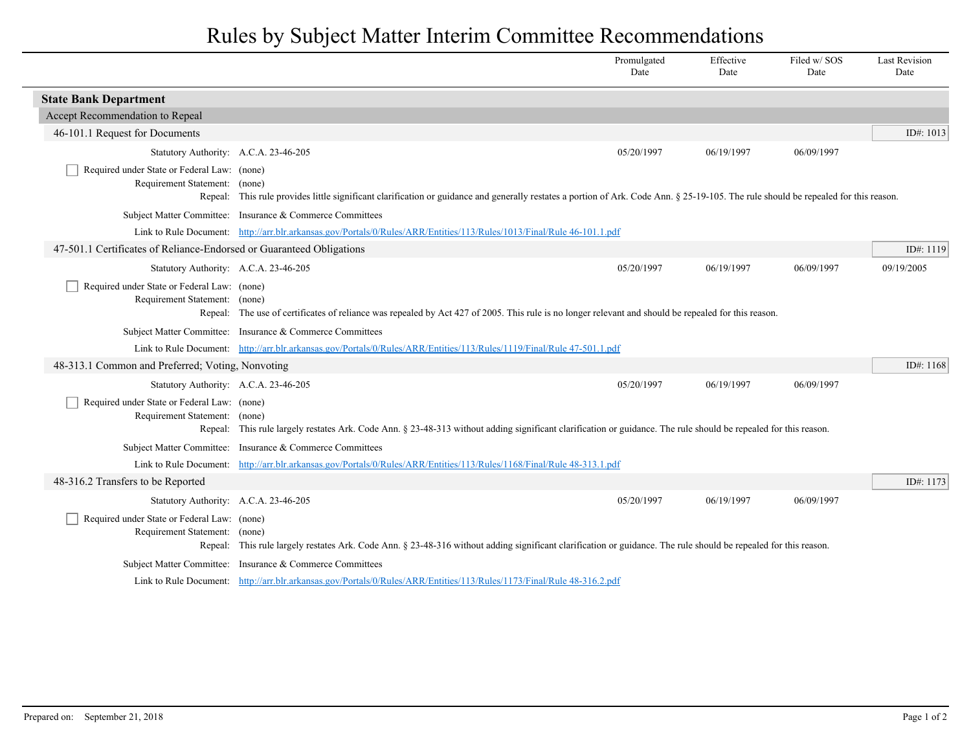## Rules by Subject Matter Interim Committee Recommendations

|                                                                                  |                                                                                                                                                                                      | Promulgated<br>Date | Effective<br>Date | Filed w/ SOS<br>Date | <b>Last Revision</b><br>Date |
|----------------------------------------------------------------------------------|--------------------------------------------------------------------------------------------------------------------------------------------------------------------------------------|---------------------|-------------------|----------------------|------------------------------|
| <b>State Bank Department</b>                                                     |                                                                                                                                                                                      |                     |                   |                      |                              |
| Accept Recommendation to Repeal                                                  |                                                                                                                                                                                      |                     |                   |                      |                              |
| 46-101.1 Request for Documents                                                   |                                                                                                                                                                                      |                     |                   |                      | ID#: $1013$                  |
| Statutory Authority: A.C.A. 23-46-205                                            |                                                                                                                                                                                      | 05/20/1997          | 06/19/1997        | 06/09/1997           |                              |
| Required under State or Federal Law: (none)<br>Requirement Statement: (none)     | Repeal: This rule provides little significant clarification or guidance and generally restates a portion of Ark. Code Ann. § 25-19-105. The rule should be repealed for this reason. |                     |                   |                      |                              |
|                                                                                  | Subject Matter Committee: Insurance & Commerce Committees                                                                                                                            |                     |                   |                      |                              |
|                                                                                  | Link to Rule Document: http://arr.blr.arkansas.gov/Portals/0/Rules/ARR/Entities/113/Rules/1013/Final/Rule 46-101.1.pdf                                                               |                     |                   |                      |                              |
| 47-501.1 Certificates of Reliance-Endorsed or Guaranteed Obligations             |                                                                                                                                                                                      |                     |                   |                      | ID#: 1119                    |
| Statutory Authority: A.C.A. 23-46-205                                            |                                                                                                                                                                                      | 05/20/1997          | 06/19/1997        | 06/09/1997           | 09/19/2005                   |
| Required under State or Federal Law: (none)<br>Requirement Statement: (none)     | Repeal: The use of certificates of reliance was repealed by Act 427 of 2005. This rule is no longer relevant and should be repealed for this reason.                                 |                     |                   |                      |                              |
|                                                                                  | Subject Matter Committee: Insurance & Commerce Committees                                                                                                                            |                     |                   |                      |                              |
|                                                                                  | Link to Rule Document: http://arr.blr.arkansas.gov/Portals/0/Rules/ARR/Entities/113/Rules/119/Final/Rule 47-501.1.pdf                                                                |                     |                   |                      |                              |
| 48-313.1 Common and Preferred; Voting, Nonvoting                                 |                                                                                                                                                                                      |                     |                   |                      | ID#: $1168$                  |
| Statutory Authority: A.C.A. 23-46-205                                            |                                                                                                                                                                                      | 05/20/1997          | 06/19/1997        | 06/09/1997           |                              |
| Required under State or Federal Law: (none)<br>Requirement Statement:<br>Repeal: | (none)<br>This rule largely restates Ark. Code Ann. § 23-48-313 without adding significant clarification or guidance. The rule should be repealed for this reason.                   |                     |                   |                      |                              |
| <b>Subject Matter Committee:</b>                                                 | Insurance & Commerce Committees                                                                                                                                                      |                     |                   |                      |                              |
| Link to Rule Document:                                                           | http://arr.blr.arkansas.gov/Portals/0/Rules/ARR/Entities/113/Rules/1168/Final/Rule 48-313.1.pdf                                                                                      |                     |                   |                      |                              |
| 48-316.2 Transfers to be Reported                                                |                                                                                                                                                                                      |                     |                   |                      | ID#: 1173                    |
| Statutory Authority: A.C.A. 23-46-205                                            |                                                                                                                                                                                      | 05/20/1997          | 06/19/1997        | 06/09/1997           |                              |
| Required under State or Federal Law: (none)<br>Requirement Statement:            | (none)<br>Repeal: This rule largely restates Ark. Code Ann. § 23-48-316 without adding significant clarification or guidance. The rule should be repealed for this reason.           |                     |                   |                      |                              |
|                                                                                  | Subject Matter Committee: Insurance & Commerce Committees                                                                                                                            |                     |                   |                      |                              |
|                                                                                  | Link to Rule Document: http://arr.blr.arkansas.gov/Portals/0/Rules/ARR/Entities/113/Rules/1173/Final/Rule 48-316.2.pdf                                                               |                     |                   |                      |                              |